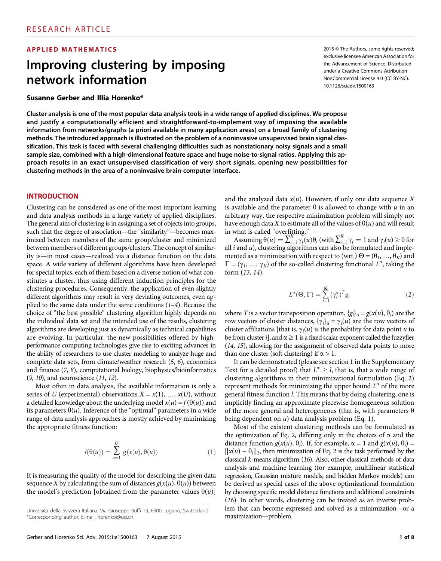#### APPLIED MATHEMATICS **All and STATICS** 2015 © The Authors, some rights reserved;

# Improving clustering by imposing network information

Susanne Gerber and Illia Horenko\*

Cluster analysis is one of the most popular data analysis tools in a wide range of applied disciplines. We propose and justify a computationally efficient and straightforward-to-implement way of imposing the available information from networks/graphs (a priori available in many application areas) on a broad family of clustering methods. The introduced approach is illustrated on the problem of a noninvasive unsupervised brain signal classification. This task is faced with several challenging difficulties such as nonstationary noisy signals and a small sample size, combined with a high-dimensional feature space and huge noise-to-signal ratios. Applying this approach results in an exact unsupervised classification of very short signals, opening new possibilities for clustering methods in the area of a noninvasive brain-computer interface.

#### INTRODUCTION

Clustering can be considered as one of the most important learning and data analysis methods in a large variety of applied disciplines. The general aim of clustering is in assigning a set of objects into groups, such that the degree of association—the "similarity"—becomes maximized between members of the same group/cluster and minimized between members of different groups/clusters. The concept of similarity is—in most cases—realized via a distance function on the data space. A wide variety of different algorithms have been developed for special topics, each of them based on a diverse notion of what constitutes a cluster, thus using different induction principles for the clustering procedures. Consequently, the application of even slightly different algorithms may result in very deviating outcomes, even applied to the same data under the same conditions  $(1-4)$ . Because the choice of "the best possible" clustering algorithm highly depends on the individual data set and the intended use of the results, clustering algorithms are developing just as dynamically as technical capabilities are evolving. In particular, the new possibilities offered by highperformance computing technologies give rise to exciting advances in the ability of researchers to use cluster modeling to analyze huge and complete data sets, from climate/weather research (5, 6), economics and finance (7, 8), computational biology, biophysics/bioinformatics (9, 10), and neuroscience (11, 12).

Most often in data analysis, the available information is only a series of U (experimental) observations  $X = x(1), \ldots, x(U)$ , without a detailed knowledge about the underlying model  $x(u) = f(\theta(u))$  and its parameters  $\theta(u)$ . Inference of the "optimal" parameters in a wide range of data analysis approaches is mostly achieved by minimizing the appropriate fitness function:

$$
l(\theta(u)) = \sum_{u=1}^{U} g(x(u), \theta(u))
$$
 (1)

It is measuring the quality of the model for describing the given data sequence X by calculating the sum of distances  $g(x(u), \theta(u))$  between the model's prediction [obtained from the parameter values  $\theta(u)$ ]

and the analyzed data  $x(u)$ . However, if only one data sequence X is available and the parameter  $\theta$  is allowed to change with u in an arbitrary way, the respective minimization problem will simply not have enough data X to estimate all of the values of  $\theta(u)$  and will result in what is called "overfitting."

Assuming  $\theta(u) = \sum_{i=1}^{K} \gamma_i(u) \theta_i$  (with  $\sum_{i=1}^{K} \gamma_i = 1$  and  $\gamma_i(u) \ge 0$  for all *i* and *u*), clustering algorithms can also be formulated and implemented as a minimization with respect to (wrt.)  $\Theta = (\theta_1, ..., \theta_K)$  and  $\Gamma = (\gamma_1, ..., \gamma_K)$  of the so-called clustering functional  $L^{\alpha}$ , taking the form (13, 14). form (13, 14):

$$
L^{\alpha}(\Theta, \Gamma) = \sum_{i=1}^{K} (\gamma_i^{\alpha})^T g_i
$$
 (2)

where T is a vector transposition operation,  $\{g_i\}_u = g(x(u), \theta_i)$  are the row vectors of cluster distances,  $\{\gamma_i\}_u = \gamma_i(u)$  are the row vectors of cluster affiliations [that is,  $\gamma_i(u)$  is the probability for data point u to be from cluster i], and  $\alpha \geq 1$  is a fixed scalar exponent called the fuzzyfier (14, 15), allowing for the assignment of observed data points to more than one cluster (soft clustering) if  $\alpha > 1$ .

It can be demonstrated (please see section 1 in the Supplementary Text for a detailed proof) that  $L^{\alpha} \geq l$ , that is, that a wide range of clustering algorithms in their minimizational formulation (Eq. 2) represent methods for minimizing the upper bound  $L^{\alpha}$  of the more general fitness function l. This means that by doing clustering, one is implicitly finding an approximate piecewise homogeneous solution of the more general and heterogeneous (that is, with parameters  $\theta$ being dependent on  $u$ ) data analysis problem (Eq. 1).

Most of the existent clustering methods can be formulated as the optimization of Eq. 2, differing only in the choices of  $\alpha$  and the distance function  $g(x(u), \theta_i)$ . If, for example,  $\alpha = 1$  and  $g(x(u), \theta_i) =$  $||x(u) - \theta_i||_2$ , then minimization of Eq. 2 is the task performed by the classical k-means algorithm (16). Also, other classical methods of data analysis and machine learning (for example, multilinear statistical regression, Gaussian mixture models, and hidden Markov models) can be derived as special cases of the above optimizational formulation by choosing specific model distance functions and additional constraints (16). In other words, clustering can be treated as an inverse problem that can become expressed and solved as a minimization—or a

exclusive licensee American Association for the Advancement of Science. Distributed under a Creative Commons Attribution NonCommercial License 4.0 (CC BY-NC). 10.1126/sciadv.1500163

Università della Svizzera Italiana, Via Giuseppe Buffi 13, 6900 Lugano, Switzerland **Lem that can become expanding**<br>Corresponding author. E-mail: horenkoi@usi.ch \*Corresponding author. E-mail: horenkoi@usi.ch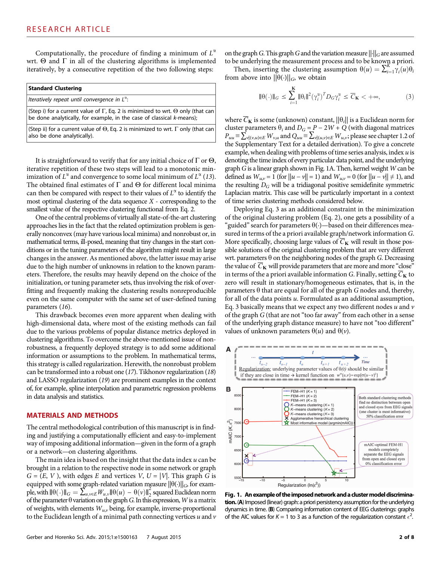Computationally, the procedure of finding a minimum of  $L^{\alpha}$ wrt.  $\Theta$  and  $\Gamma$  in all of the clustering algorithms is implemented iteratively, by a consecutive repetition of the two following steps:

| <b>Standard Clustering</b>                                                                                                                                                |
|---------------------------------------------------------------------------------------------------------------------------------------------------------------------------|
| Iteratively repeat until convergence in $L^{\alpha}$ .                                                                                                                    |
| (Step i) for a current value of $\Gamma$ , Eq. 2 is minimized to wrt. $\Theta$ only (that can<br>be done analytically, for example, in the case of classical $k$ -means); |
| (Step ii) for a current value of $\Theta$ , Eq. 2 is minimized to wrt. $\Gamma$ only (that can<br>also be done analytically).                                             |

It is straightforward to verify that for any initial choice of  $\Gamma$  or  $\Theta$ , iterative repetition of these two steps will lead to a monotonic minimization of  $L^{\alpha}$  and convergence to some local minimum of  $L^{\alpha}$  (13). The obtained final estimates of  $\Gamma$  and  $\Theta$  for different local minima can then be compared with respect to their values of  $L^{\alpha}$  to identify the most optimal clustering of the data sequence  $X$  - corresponding to the smallest value of the respective clustering functional from Eq. 2.

One of the central problems of virtually all state-of-the-art clustering approaches lies in the fact that the related optimization problem is generally nonconvex (may have variouslocal minima) and nonrobust or, in mathematical terms, ill-posed, meaning that tiny changes in the start conditions or in the tuning parameters of the algorithm might result in large changes in the answer. As mentioned above, the latter issue may arise due to the high number of unknowns in relation to the known parameters. Therefore, the results may heavily depend on the choice of the initialization, or tuning parameter sets, thus involving the risk of overfitting and frequently making the clustering results nonreproducible even on the same computer with the same set of user-defined tuning parameters (16).

This drawback becomes even more apparent when dealing with high-dimensional data, where most of the existing methods can fail due to the various problems of popular distance metrics deployed in clustering algorithms. To overcome the above-mentioned issue of nonrobustness, a frequently deployed strategy is to add some additional information or assumptions to the problem. In mathematical terms, this strategy is called regularization. Herewith, the nonrobust problem can be transformed into a robust one (17). Tikhonov regularization (18) and LASSO regularization (19) are prominent examples in the context of, for example, spline interpolation and parametric regression problems in data analysis and statistics.

### MATERIALS AND METHODS

The central methodological contribution of this manuscript is in finding and justifying a computationally efficient and easy-to-implement way of imposing additional information—given in the form of a graph or a network—on clustering algorithms.

The main idea is based on the insight that the data index  $u$  can be brought in a relation to the respective node in some network or graph  $G = (E, V)$ , with edges E and vertices V,  $U = |V|$ . This graph G is equipped with some graph-related variation measure  $||\theta(\cdot)||_G$  for example, with  $\|\theta(\cdot)\|_G = \sum_{u,v \in E} W_{u,v} \|\theta(u) - \theta(v)\|_2^2$  squared Euclidean norm<br>port the parameter  $\theta$  variation on the graph G In this expression. W is a matrix of the parameter  $\theta$  variation on the graph G. In this expression, W is a matrix of weights, with elements  $W_{u,v}$  being, for example, inverse-proportional to the Euclidean length of a minimal path connecting vertices  $u$  and  $v$ 

on the graph G. This graph G and the variation measure  $\|\cdot\|_G$  are assumed to be underlying the measurement process and to be known a priori.

Then, inserting the clustering assumption  $\theta(u) = \sum_{i=1}^{K} \gamma_i(u)\theta_i$ <br>m above into ll $\theta$ (ill<sub>o</sub> we obtain from above into  $||\theta(\cdot)||_G$ , we obtain

$$
\|\theta(\cdot)\|_{G} \le \sum_{i=1}^{K} \|\theta_{i}\|^{2} (\gamma_{i}^{\alpha})^{T} D_{G} \gamma_{i}^{\alpha} \le \overline{C}_{K} < +\infty, \tag{3}
$$

where  $\overline{C}_{\mathbf{K}}$  is some (unknown) constant,  $||\theta_i||$  is a Euclidean norm for cluster parameters  $\theta_i$  and  $D_G = P - 2W + Q$  (with diagonal matrices  $P_{uu} \equiv \sum_{v | (v,u) \in E} W_{v,u}$  and  $Q_{uu} \equiv \sum_{v | (u,v) \in E} W_{u,v}$ ; please see chapter 1.2 of the Supplementary Text for a detailed derivation). To give a concrete example, when dealing with problems of time series analysis, index  $u$  is denoting the time index of every particular data point, and the underlying graph  $G$  is a linear graph shown in Fig. 1A. Then, kernel weight  $W$  can be defined as  $W_{u,v} = 1$  (for  $||u - v|| = 1$ ) and  $W_{u,v} = 0$  (for  $||u - v|| \neq 1$ ), and the resulting  $D_G$  will be a tridiagonal positive semidefinite symmetric Laplacian matrix. This case will be particularly important in a context of time series clustering methods considered below.

Deploying Eq. 3 as an additional constraint in the minimization of the original clustering problem (Eq. 2), one gets a possibility of a "guided" search for parameters  $\theta(\cdot)$ —based on their differences measured in terms of the a priori available graph/network information G. More specifically, choosing large values of  $\overline{C}_{\mathbf{K}}$  will result in those possible solutions of the original clustering problem that are very different wrt. parameters  $\theta$  on the neighboring nodes of the graph G. Decreasing the value of  $\overline{C}_{K}$  will provide parameters that are more and more "close" in terms of the a priori available information G. Finally, setting  $C_{\mathbf{K}}$  to zero will result in stationary/homogeneous estimates, that is, in the parameters  $\theta$  that are equal for all of the graph G nodes and, thereby, for all of the data points u. Formulated as an additional assumption, Eq. 3 basically means that we expect any two different nodes  $u$  and  $v$ of the graph  $G$  (that are not "too far away" from each other in a sense of the underlying graph distance measure) to have not "too different" values of unknown parameters  $\theta(u)$  and  $\theta(v)$ .



Fig. 1. An example of the imposed network and a cluster model discrimination. (A) Imposed (linear) graph: a priori persistency assumption for the underlying dynamics in time. (B) Comparing information content of EEG clusterings: graphs of the AIC values for  $K = 1$  to 3 as a function of the regularization constant  $\epsilon^2$ .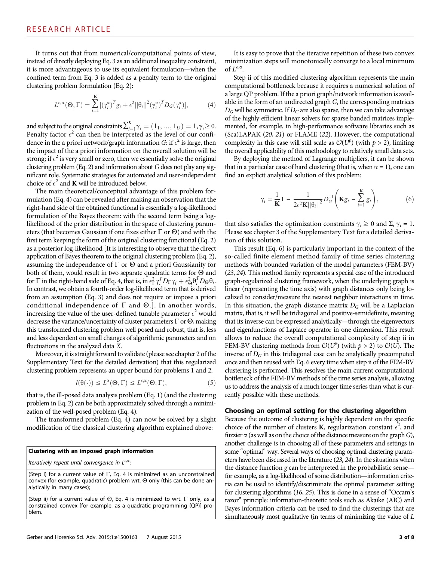It turns out that from numerical/computational points of view, instead of directly deploying Eq. 3 as an additional inequality constraint, it is more advantageous to use its equivalent formulation—when the confined term from Eq. 3 is added as a penalty term to the original clustering problem formulation (Eq. 2):

$$
L^{\epsilon,\alpha}(\Theta,\Gamma) = \sum_{i=1}^{K} [(\gamma_i^{\alpha})^T g_i + \epsilon^2 ||\theta_i||^2 (\gamma_i^{\alpha})^T D_G(\gamma_i^{\alpha})],
$$
 (4)

and subject to the original constraints  $\sum_{i=1}^{K} \gamma_i = (1_1, ..., 1_U) = 1, \gamma_i \ge 0$ .<br>Penalty factor  $\epsilon^2$  can then be interpreted as the level of our confi-Penalty factor  $\epsilon^2$  can then be interpreted as the level of our confidence in the a priori network/graph information G: if  $\epsilon^2$  is large, then the impact of the a priori information on the overall solution will be strong; if  $\epsilon^2$  is very small or zero, then we essentially solve the original clustering problem (Eq. 2) and information about G does not play any significant role. Systematic strategies for automated and user-independent choice of  $\epsilon^2$  and **K** will be introduced below.

The main theoretical/conceptual advantage of this problem formulation (Eq. 4) can be revealed after making an observation that the right-hand side of the obtained functional is essentially a log-likelihood formulation of the Bayes theorem: with the second term being a loglikelihood of the prior distribution in the space of clustering parameters (that becomes Gaussian if one fixes either  $\Gamma$  or  $\Theta$ ) and with the first term keeping the form of the original clustering functional (Eq. 2) as a posterior log-likelihood [It is interesting to observe that the direct application of Bayes theorem to the original clustering problem (Eq. 2), assuming the independence of  $\Gamma$  or  $\Theta$  and a priori Gaussianity for both of them, would result in two separate quadratic terms for  $\Theta$  and for  $\Gamma$  in the right-hand side of Eq. 4, that is, in  $\epsilon_{\Gamma}^2 \gamma_i^T D_{\Gamma} \gamma_i + \epsilon_{\Theta}^2 \theta_i^T D_{\Theta} \theta_i$ .<br>In contrast we obtain a fourth-order log-likelihood term that is derived for 1 in the right-hand side of Eq. 4, that is, in  $\epsilon_{\Gamma} \gamma_i D_{\Gamma} \gamma_i + \epsilon_{\Theta} \sigma_i D_{\Theta} \sigma_i$ .<br>In contrast, we obtain a fourth-order log-likelihood term that is derived from an assumption (Eq. 3) and does not require or impose a priori conditional independence of  $\Gamma$  and  $\Theta$ .]. In another words, increasing the value of the user-defined tunable parameter  $\epsilon^2$  would decrease the variance/uncertainty of cluster parameters  $\Gamma$  or  $\Theta$ , making this transformed clustering problem well posed and robust, that is, less and less dependent on small changes of algorithmic parameters and on fluctuations in the analyzed data X.

Moreover, it is straightforward to validate (please see chapter 2 of the Supplementary Text for the detailed derivation) that this regularized clustering problem represents an upper bound for problems 1 and 2.

$$
l(\theta(\cdot)) \le L^{\alpha}(\Theta, \Gamma) \le L^{\epsilon, \alpha}(\Theta, \Gamma), \tag{5}
$$

that is, the ill-posed data analysis problem (Eq. 1) (and the clustering problem in Eq. 2) can be both approximately solved through a minimization of the well-posed problem (Eq. 4).

The transformed problem (Eq. 4) can now be solved by a slight modification of the classical clustering algorithm explained above:

| Clustering with an imposed graph information                                                                                                                                 |
|------------------------------------------------------------------------------------------------------------------------------------------------------------------------------|
| Iteratively repeat until convergence in $L^{\epsilon,\alpha}$ .                                                                                                              |
| (Step i) for a current value of $\Gamma$ , Eq. 4 is minimized as an unconstrained<br>$\sim$ convex (for example, quadratic) problem wrt. $\Theta$ only (this can be done an- |

convex (for example, quadratic) problem wrt.  $\Theta$  only (this can be done an-<br>alytically in many cases) alytically in many cases);

(Step ii) for a current value of  $\Theta$ , Eq. 4 is minimized to wrt.  $\Gamma$  only, as a constrained convex [for example, as a quadratic programming (QP)] problem.

It is easy to prove that the iterative repetition of these two convex minimization steps will monotonically converge to a local minimum of  $L^{\epsilon,\alpha}$ .

Step ii of this modified clustering algorithm represents the main computational bottleneck because it requires a numerical solution of a large QP problem. If the a priori graph/network information is available in the form of an undirected graph G, the corresponding matrices  $D_G$  will be symmetric. If  $D_G$  are also sparse, then we can take advantage of the highly efficient linear solvers for sparse banded matrices implemented, for example, in high-performance software libraries such as (Sca)LAPAK (20, 21) or FLAME (22). However, the computational complexity in this case will still scale as  $O(U^p)$  (with  $p > 2$ ), limiting the overall applicability of this methodology to relatively small data sets.

By deploying the method of Lagrange multipliers, it can be shown that in a particular case of hard clustering (that is, when  $\alpha = 1$ ), one can find an explicit analytical solution of this problem:

$$
\gamma_i = \frac{1}{\mathbf{K}} 1 - \frac{1}{2\epsilon^2 \mathbf{K} ||\theta_i||^2} D_G^{-1} \left( \mathbf{K} g_i - \sum_{i=1}^{\mathbf{K}} g_i \right),\tag{6}
$$

that also satisfies the optimization constraints  $\gamma_i \geq 0$  and  $\Sigma_i \gamma_i = 1$ . Please see chapter 3 of the Supplementary Text for a detailed derivation of this solution.

This result (Eq. 6) is particularly important in the context of the so-called finite element method family of time series clustering methods with bounded variation of the model parameters (FEM-BV) (23, 24). This method family represents a special case of the introduced graph-regularized clustering framework, when the underlying graph is linear (representing the time axis) with graph distances only being localized to consider/measure the nearest neighbor interactions in time. In this situation, the graph distance matrix  $D_G$  will be a Laplacian matrix, that is, it will be tridiagonal and positive-semidefinite, meaning that its inverse can be expressed analytically—through the eigenvectors and eigenfunctions of Laplace operator in one dimension. This result allows to reduce the overall computational complexity of step ii in FEM-BV clustering methods from  $O(U^p)$  (with  $p > 2$ ) to  $O(U)$ . The inverse of  $D_G$  in this tridiagonal case can be analytically precomputed once and then reused with Eq. 6 every time when step ii of the FEM-BV clustering is performed. This resolves the main current computational bottleneck of the FEM-BV methods of the time series analysis, allowing us to address the analysis of a much longer time series than what is currently possible with these methods.

#### Choosing an optimal setting for the clustering algorithm

Because the outcome of clustering is highly dependent on the specific choice of the number of clusters **K**, regularization constant  $\epsilon^2$ , and fuzzier  $\alpha$  (as well as on the choice of the distance measure on the graph G), another challenge is in choosing all of these parameters and settings in some "optimal" way. Several ways of choosing optimal clustering parameters have been discussed in the literature (23, 24). In the situations when the distance function  $g$  can be interpreted in the probabilistic sense for example, as a log-likelihood of some distribution—information criteria can be used to identify/discriminate the optimal parameter setting for clustering algorithms (16, 25). This is done in a sense of "Occam's razor" principle: information-theoretic tools such as Akaike (AIC) and Bayes information criteria can be used to find the clusterings that are simultaneously most qualitative (in terms of minimizing the value of L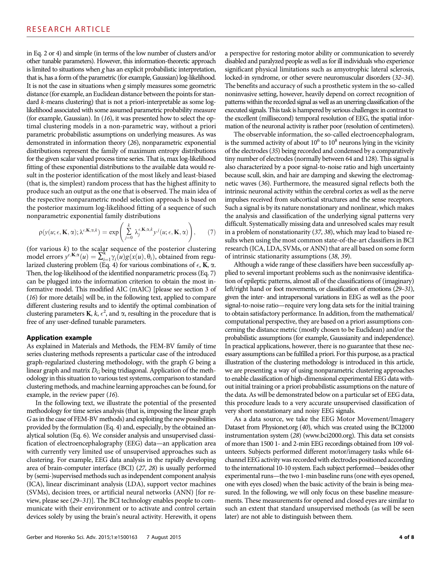in Eq. 2 or 4) and simple (in terms of the low number of clusters and/or other tunable parameters). However, this information-theoretic approach is limited to situations when  $g$  has an explicit probabilistic interpretation, that is, has a form of the parametric (for example, Gaussian) log-likelihood. It is not the case in situations when  $g$  simply measures some geometric distance (for example, an Euclidean distance between the points for standard k-means clustering) that is not a priori-interpretable as some loglikelihood associated with some assumed parametric probability measure (for example, Gaussian). In (16), it was presented how to select the optimal clustering models in a non-parametric way, without a priori parametric probabilistic assumptions on underlying measures. As was demonstrated in information theory (26), nonparametric exponential distributions represent the family of maximum entropy distributions for the given scalar valued process time series. That is, max log-likelihood fitting of these exponential distributions to the available data would result in the posterior identification of the most likely and least-biased (that is, the simplest) random process that has the highest affinity to produce such an output as the one that is observed. The main idea of the respective nonparametric model selection approach is based on the posterior maximum log-likelihood fitting of a sequence of such nonparametric exponential family distributions

$$
\rho(y(u;\epsilon,\mathbf{K},\alpha);\lambda^{\epsilon,\mathbf{K},\alpha,k}) = \exp\left(\sum_{j=0}^k \lambda_j^{\epsilon,\mathbf{K},\alpha,k} y^j(u;\epsilon,\mathbf{K},\alpha)\right),\qquad(7)
$$

(for various  $k$ ) to the scalar sequence of the posterior clustering model errors  $y^{\epsilon, \mathbf{K}, \alpha}(u) = \sum_{i=1}^{\mathbf{k}} \gamma_i(u)g(x(u), \theta_i)$ , obtained from regu-<br>larized clustering problem (Eq. 4) for various combinations of  $\epsilon \mathbf{K} \propto \mathbf{K}$ larized clustering problem (Eq. 4) for various combinations of  $\epsilon$ , **K**,  $\alpha$ . Then, the log-likelihood of the identified nonparametric process (Eq. 7) can be plugged into the information criterion to obtain the most informative model. This modified AIC (mAIC) [please see section 3 of (16) for more details] will be, in the following text, applied to compare different clustering results and to identify the optimal combination of clustering parameters  $\mathbf{K}$ ,  $k$ ,  $\epsilon^2$ , and  $\alpha$ , resulting in the procedure that is free of any user-defined tunable parameters free of any user-defined tunable parameters.

#### Application example

As explained in Materials and Methods, the FEM-BV family of time series clustering methods represents a particular case of the introduced graph-regularized clustering methodology, with the graph G being a linear graph and matrix  $D_G$  being tridiagonal. Application of the methodology in this situation to various test systems, comparison to standard clustering methods, and machine learning approaches can be found, for example, in the review paper (16).

In the following text, we illustrate the potential of the presented methodology for time series analysis (that is, imposing the linear graph Gas in the case of FEM-BV methods) and exploiting the new possibilities provided by the formulation (Eq. 4) and, especially, by the obtained analytical solution (Eq. 6). We consider analysis and unsupervised classification of electroencephalography (EEG) data—an application area with currently very limited use of unsupervised approaches such as clustering. For example, EEG data analysis in the rapidly developing area of brain-computer interface (BCI) (27, 28) is usually performed by (semi-)supervised methods such as independent component analysis (ICA), linear discriminant analysis (LDA), support vector machines (SVMs), decision trees, or artificial neural networks (ANN) [for review, please see (29–31)]. The BCI technology enables people to communicate with their environment or to activate and control certain devices solely by using the brain's neural activity. Herewith, it opens

a perspective for restoring motor ability or communication to severely disabled and paralyzed people as well as for ill individuals who experience significant physical limitations such as amyotrophic lateral sclerosis, locked-in syndrome, or other severe neuromuscular disorders (32–34). The benefits and accuracy of such a prosthetic system in the so-called noninvasive setting, however, heavily depend on correct recognition of patterns within the recorded signal as well as an unerring classification of the executed signals. This task is hampered by serious challenges: in contrast to the excellent (millisecond) temporal resolution of EEG, the spatial information of the neuronal activity is rather poor (resolution of centimeters).

The observable information, the so-called electroencephalogram, is the summed activity of about  $10^6$  to  $10^8$  neurons lying in the vicinity of the electrodes (35) being recorded and condensed by a comparatively tiny number of electrodes (normally between 64 and 128). This signal is also characterized by a poor signal-to-noise ratio and high uncertainty because scull, skin, and hair are damping and skewing the electromagnetic waves (36). Furthermore, the measured signal reflects both the intrinsic neuronal activity within the cerebral cortex as well as the nerve impulses received from subcortical structures and the sense receptors. Such a signal is by its nature nonstationary and nonlinear, which makes the analysis and classification of the underlying signal patterns very difficult. Systematically missing data and unresolved scales may result in a problem of nonstationarity (37, 38), which may lead to biased results when using the most common state-of-the-art classifiers in BCI research (ICA, LDA, SVMs, or ANN) that are all based on some form of intrinsic stationarity assumptions (38, 39).

Although a wide range of these classifiers have been successfully applied to several important problems such as the noninvasive identification of epileptic patterns, almost all of the classifications of (imaginary) left/right hand or foot movements, or classification of emotions (29–31), given the inter- and intrapersonal variations in EEG as well as the poor signal-to-noise ratio—require very long data sets for the initial training to obtain satisfactory performance. In addition, from the mathematical/ computational perspective, they are based on a priori assumptions concerning the distance metric (mostly chosen to be Euclidean) and/or the probabilistic assumptions (for example, Gaussianity and independence). In practical applications, however, there is no guarantee that these necessary assumptions can be fulfilled a priori. For this purpose, as a practical illustration of the clustering methodology is introduced in this article, we are presenting a way of using nonparametric clustering approaches to enable classification of high-dimensional experimental EEG data without initial training or a priori probabilistic assumptions on the nature of the data. As will be demonstrated below on a particular set of EEG data, this procedure leads to a very accurate unsupervised classification of very short nonstationary and noisy EEG signals.

As a data source, we take the EEG Motor Movement/Imagery Dataset from Physionet.org (40), which was created using the BCI2000 instrumentation system (28) (www.bci2000.org). This data set consists of more than 1500 1- and 2-min EEG recordings obtained from 109 volunteers. Subjects performed different motor/imagery tasks while 64 channel EEG activity was recorded with electrodes positioned according to the international 10-10 system. Each subject performed—besides other experimental runs—the two 1-min baseline runs (one with eyes opened, one with eyes closed) when the basic activity of the brain is being measured. In the following, we will only focus on these baseline measurements. These measurements for opened and closed eyes are similar to such an extent that standard unsupervised methods (as will be seen later) are not able to distinguish between them.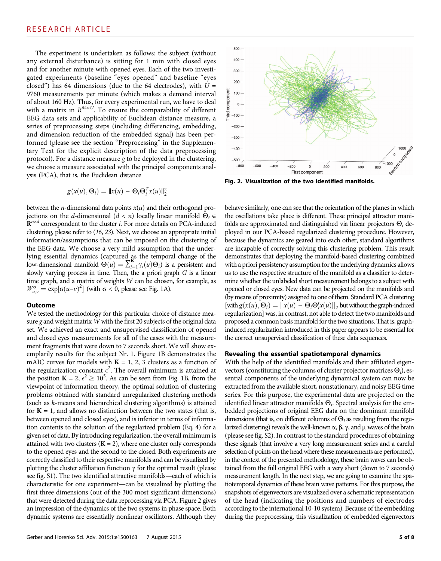The experiment is undertaken as follows: the subject (without any external disturbance) is sitting for 1 min with closed eyes and for another minute with opened eyes. Each of the two investigated experiments (baseline "eyes opened" and baseline "eyes closed") has 64 dimensions (due to the 64 electrodes), with  $U =$ 9760 measurements per minute (which makes a demand interval of about 160 Hz). Thus, for every experimental run, we have to deal with a matrix in  $R^{64\times U}$ . To ensure the comparability of different EEG data sets and applicability of Euclidean distance measure, a series of preprocessing steps (including differencing, embedding, and dimension reduction of the embedded signal) has been performed (please see the section "Preprocessing" in the Supplementary Text for the explicit description of the data preprocessing protocol). For a distance measure g to be deployed in the clustering, we choose a measure associated with the principal components analysis (PCA), that is, the Euclidean distance

$$
g(x(u), \Theta_i) = ||x(u) - \Theta_i \Theta_i^T x(u)||_2^2
$$

between the *n*-dimensional data points  $x(u)$  and their orthogonal projections on the *d*-dimensional (*d* < *n*) locally linear manifold  $\Theta_i$  ∈  $\mathbf{R}^{n \times d}$  correspondent to the cluster *i*. For more details on PCA-induced clustering, please refer to (16, 23). Next, we choose an appropriate initial information/assumptions that can be imposed on the clustering of the EEG data. We choose a very mild assumption that the underlying essential dynamics (captured as the temporal change of the<br>low-dimensional manifold  $\Theta(u) = \sum_{i=1}^{K} \gamma_i(u) \Theta_i$ ) is a persistent and<br>slowly varying process in time. Then the a priori graph G is a linear slowly varying process in time. Then, the a priori graph G is a linear time graph, and a matrix of weights W can be chosen, for example, as  $W_{u,v}^{\sigma} = \exp[\sigma(u-v)^2]$  (with  $\sigma < 0$ , please see Fig. 1A).

#### **Outcome**

We tested the methodology for this particular choice of distance measure g and weight matrix W with the first 20 subjects of the original data set. We achieved an exact and unsupervised classification of opened and closed eyes measurements for all of the cases with the measurement fragments that were down to 7 seconds short. We will show exemplarily results for the subject Nr. 1. Figure 1B demonstrates the mAIC curves for models with  $K = 1, 2, 3$  clusters as a function of the regularization constant  $\epsilon^2$ . The overall minimum is attained at the position  $K = 2$ ,  $\epsilon^2 \ge 10^5$ . As can be seen from Fig. 1B, from the viewpoint of information theory, the optimal solution of clustering problems obtained with standard unregularized clustering methods (such as k-means and hierarchical clustering algorithms) is attained for  $K = 1$ , and allows no distinction between the two states (that is, between opened and closed eyes), and is inferior in terms of information contents to the solution of the regularized problem (Eq. 4) for a given set of data. By introducing regularization, the overall minimum is attained with two clusters  $(K = 2)$ , where one cluster only corresponds to the opened eyes and the second to the closed. Both experiments are correctly classified to their respective manifolds and can be visualized by plotting the cluster affiliation function  $\gamma$  for the optimal result (please see fig. S1). The two identified attractive manifolds—each of which is characteristic for one experiment—can be visualized by plotting the first three dimensions (out of the 300 most significant dimensions) that were detected during the data reprocessing via PCA. Figure 2 gives an impression of the dynamics of the two systems in phase space. Both dynamic systems are essentially nonlinear oscillators. Although they



Fig. 2. Visualization of the two identified manifolds.

behave similarly, one can see that the orientation of the planes in which the oscillations take place is different. These principal attractor manifolds are approximated and distinguished via linear projectors  $\Theta_i$  deployed in our PCA-based regularized clustering procedure. However, because the dynamics are geared into each other, standard algorithms are incapable of correctly solving this clustering problem. This result demonstrates that deploying the manifold-based clustering combined with a priori persistency assumption for the underlying dynamics allows us to use the respective structure of the manifold as a classifier to determine whether the unlabeled short measurement belongs to a subject with opened or closed eyes. New data can be projected on the manifolds and (by means of proximity) assigned to one of them. Standard PCA clustering [with  $g(x(u), \Theta_i) = ||x(u) - \Theta_i \Theta_i^t x(u)||_2$  but without the graph-induced regularization was in contrast, not able to detect the two manifolds and regularization] was, in contrast, not able to detect the two manifolds and proposed a common basis manifold for the two situations. That is, graphinduced regularization introduced in this paper appears to be essential for the correct unsupervised classification of these data sequences.

#### Revealing the essential spatiotemporal dynamics

With the help of the identified manifolds and their affiliated eigenvectors (constituting the columns of cluster projector matrices  $\Theta_i$ ), essential components of the underlying dynamical system can now be extracted from the available short, nonstationary, and noisy EEG time series. For this purpose, the experimental data are projected on the identified linear attractor manifolds  $\Theta_i$ . Spectral analysis for the embedded projections of original EEG data on the dominant manifold dimensions (that is, on different columns of  $\Theta_i$  as resulting from the regularized clustering) reveals the well-known  $\alpha$ ,  $\beta$ ,  $\gamma$ , and  $\mu$  waves of the brain (please see fig. S2). In contrast to the standard procedures of obtaining these signals (that involve a very long measurement series and a careful selection of points on the head where these measurements are performed), in the context of the presented methodology, these brain waves can be obtained from the full original EEG with a very short (down to 7 seconds) measurement length. In the next step, we are going to examine the spatiotemporal dynamics of these brain wave patterns. For this purpose, the snapshots of eigenvectors are visualized over a schematic representation of the head (indicating the positions and numbers of electrodes according to the international 10-10 system). Because of the embedding during the preprocessing, this visualization of embedded eigenvectors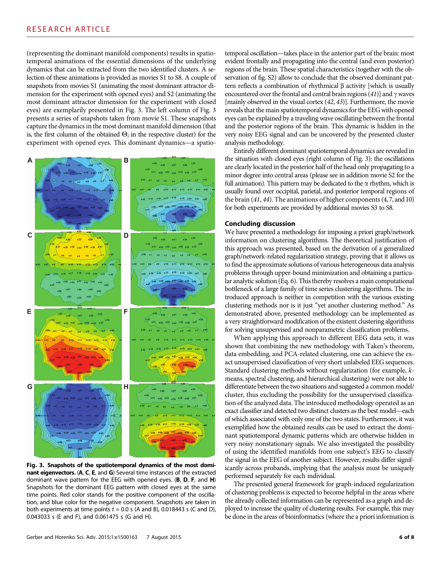## RESEARCH ARTICLE

(representing the dominant manifold components) results in spatiotemporal animations of the essential dimensions of the underlying dynamics that can be extracted from the two identified clusters. A selection of these animations is provided as movies S1 to S8. A couple of snapshots from movies S1 (animating the most dominant attractor dimension for the experiment with opened eyes) and S2 (animating the most dominant attractor dimension for the experiment with closed eyes) are exemplarily presented in Fig. 3. The left column of Fig. 3 presents a series of snapshots taken from movie S1. These snapshots capture the dynamics in the most dominant manifold dimension (that is, the first column of the obtained  $\Theta_i$  in the respective cluster) for the experiment with opened eyes. This dominant dynamics—a spatio-



Fig. 3. Snapshots of the spatiotemporal dynamics of the most dominant eigenvectors. (A, C, E, and G) Several time instances of the extracted dominant wave pattern for the EEG with opened eyes. (**B**, **D**, **F**, and **H**) Snapshots for the dominant EEG pattern with closed eyes at the same time points. Red color stands for the positive component of the oscillation, and blue color for the negative component. Snapshots are taken in both experiments at time points  $t = 0.0$  s (A and B), 0.018443 s (C and D), 0.043033 s (E and F), and 0.061475 s (G and H).

temporal oscillation—takes place in the anterior part of the brain: most evident frontally and propagating into the central (and even posterior) regions of the brain. These spatial characteristics (together with the observation of fig. S2) allow to conclude that the observed dominant pattern reflects a combination of rhythmical  $\beta$  activity [which is usually encountered over the frontal and central brain regions  $(41)$ ] and  $\gamma$  waves [mainly observed in the visual cortex (42, 43)]. Furthermore, the movie reveals that the main spatiotemporal dynamics for the EEG with opened eyes can be explained by a traveling wave oscillating between the frontal and the posterior regions of the brain. This dynamic is hidden in the very noisy EEG signal and can be uncovered by the presented cluster analysis methodology.

Entirely different dominant spatiotemporal dynamics are revealed in the situation with closed eyes (right column of Fig. 3): the oscillations are clearly located in the posterior half of the head only propagating to a minor degree into central areas (please see in addition movie S2 for the full animation). This pattern may be dedicated to the  $\alpha$  rhythm, which is usually found over occipital, parietal, and posterior temporal regions of the brain (41, 44). The animations of higher components (4, 7, and 10) for both experiments are provided by additional movies S3 to S8.

#### Concluding discussion

We have presented a methodology for imposing a priori graph/network information on clustering algorithms. The theoretical justification of this approach was presented, based on the derivation of a generalized graph/network-related regularization strategy, proving that it allows us to find the approximate solutions of various heterogeneous data analysis problems through upper-bound minimization and obtaining a particular analytic solution (Eq. 6). This thereby resolves a main computational bottleneck of a large family of time series clustering algorithms. The introduced approach is neither in competition with the various existing clustering methods nor is it just "yet another clustering method." As demonstrated above, presented methodology can be implemented as a very straightforward modification of the existent clustering algorithms for solving unsupervised and nonparametric classification problems.

When applying this approach to different EEG data sets, it was shown that combining the new methodology with Taken's theorem, data embedding, and PCA-related clustering, one can achieve the exact unsupervised classification of very short unlabeled EEG sequences. Standard clustering methods without regularization (for example, kmeans, spectral clustering, and hierarchical clustering) were not able to differentiate between the two situations and suggested a common model/ cluster, thus excluding the possibility for the unsupervised classification of the analyzed data. The introduced methodology operated as an exact classifier and detected two distinct clusters as the best model—each of which associated with only one of the two states. Furthermore, it was exemplified how the obtained results can be used to extract the dominant spatiotemporal dynamic patterns which are otherwise hidden in very noisy nonstationary signals. We also investigated the possibility of using the identified manifolds from one subject's EEG to classify the signal in the EEG of another subject. However, results differ significantly across probands, implying that the analysis must be uniquely performed separately for each individual.

The presented general framework for graph-induced regularization of clustering problems is expected to become helpful in the areas where the already collected information can be represented as a graph and deployed to increase the quality of clustering results. For example, this may be done in the areas of bioinformatics (where the a priori information is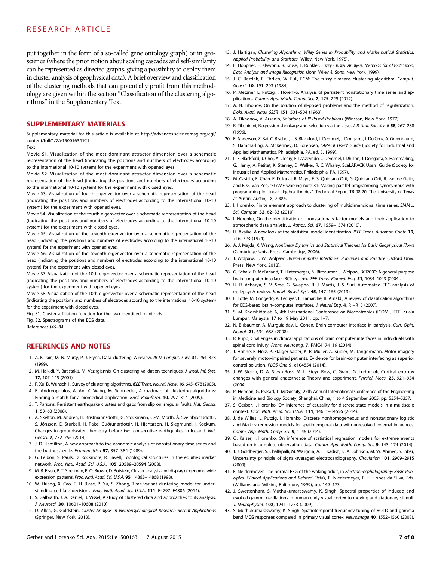put together in the form of a so-called gene ontology graph) or in geoscience (where the prior notion about scaling cascades and self-similarity can be represented as directed graphs, giving a possibility to deploy them in cluster analysis of geophysical data). A brief overview and classification of the clustering methods that can potentially profit from this methodology are given within the section "Classification of the clustering algorithms" in the Supplementary Text.

#### SUPPLEMENTARY MATERIALS

Supplementary material for this article is available at http://advances.sciencemag.org/cgi/ content/full/1/7/e1500163/DC1

#### Text

Movie S1. Visualization of the most dominant attractor dimension over a schematic representation of the head (indicating the positions and numbers of electrodes according to the international 10-10 system) for the experiment with opened eyes.

Movie S2. Visualization of the most dominant attractor dimension over a schematic representation of the head (indicating the positions and numbers of electrodes according to the international 10-10 system) for the experiment with closed eyes.

Movie S3. Visualization of fourth eigenvector over a schematic representation of the head (indicating the positions and numbers of electrodes according to the international 10-10 system) for the experiment with opened eyes.

Movie S4. Visualization of the fourth eigenvector over a schematic representation of the head (indicating the positions and numbers of electrodes according to the international 10-10 system) for the experiment with closed eyes.

Movie S5. Visualization of the seventh eigenvector over a schematic representation of the head (indicating the positions and numbers of electrodes according to the international 10-10 system) for the experiment with opened eyes.

Movie S6. Visualization of the seventh eigenvector over a schematic representation of the head (indicating the positions and numbers of electrodes according to the international 10-10 system) for the experiment with closed eyes.

Movie S7. Visualization of the 10th eigenvector over a schematic representation of the head (indicating the positions and numbers of electrodes according to the international 10-10 system) for the experiment with opened eyes.

Movie S8. Visualization of the 10th eigenvector over a schematic representation of the head (indicating the positions and numbers of electrodes according to the international 10-10 system) for the experiment with closed eyes.

Fig. S1. Cluster affiliation function for the two identified manifolds.

Fig. S2. Spectrograms of the EEG data.

References (45–84)

#### REFERENCES AND NOTES

- 1. A. K. Jain, M. N. Murty, P. J. Flynn, Data clustering: A review. ACM Comput. Surv. 31, 264–323 (1999).
- 2. M. Halkidi, Y. Batistakis, M. Vazirgiannis, On clustering validation techniques. J. Intell. Inf. Syst. 17, 107–145 (2001).
- 3. R. Xu, D. Wunsch II, Survey of clustering algorithms. IEEE Trans. Neural. Netw. 16, 645–678 (2005).
- 4. B. Andreopoulos, A. An, X. Wang, M. Schroeder, A roadmap of clustering algorithms: Finding a match for a biomedical application. Brief. Bioinform. **10**, 297-314 (2009).
- 5. T. Parsons, Persistent earthquake clusters and gaps from slip on irregular faults. Nat. Geosci. 1, 59–63 (2008).
- 6. A. Skelton, M. Andrén, H. Kristmannsdóttir, G. Stockmann, C.-M. Mörth, Á. Sveinbjörnsdóttir, S. Jónsson, E. Sturkell, H. Rakel Guðrúnardóttir, H. Hjartarson, H. Siegmund, I. Kockum, Changes in groundwater chemistry before two consecutive earthquakes in Iceland. Nat. Geosci. 7, 752–756 (2014).
- 7. J. D. Hamilton, A new approach to the economic analysis of nonstationary time series and the business cycle. Econometrica 57, 357–384 (1989).
- 8. G. Leibon, S. Pauls, D. Rockmore, R. Savell, Topological structures in the equities market network. Proc. Natl. Acad. Sci. U.S.A. 105, 20589–20594 (2008).
- 9. M. B. Eisen, P. T. Spellman, P. O. Brown, D. Botstein, Cluster analysis and display of genome-wide expression patterns. Proc. Natl. Acad. Sci. U.S.A. 95, 14863-14868 (1998).
- 10. W. Huang, X. Cao, F. H. Biase, P. Yu, S. Zhong, Time-variant clustering model for understanding cell fate decisions. Proc. Natl. Acad. Sci. U.S.A. 111, E4797-E4806 (2014).
- 11. S. Galbraith, J. A. Daniel, B. Vissel, A study of clustered data and approaches to its analysis. J. Neurosci. 30, 10601–10608 (2010).
- 12. D. Allen, G. Goldstein, Cluster Analysis in Neuropsychological Research Recent Applications (Springer, New York, 2013).
- 13. J. Hartigan, Clustering Algorithms, Wiley Series in Probability and Mathematical Statistics: Applied Probability and Statistics (Wiley, New York, 1975).
- 14. F. Höppner, F. Klawonn, R. Kruse, T. Runkler, Fuzzy Cluster Analysis: Methods for Classification, Data Analysis and Image Recognition (John Wiley & Sons, New York, 1999).
- 15. J. C. Bezdek, R. Ehrlich, W. Full, FCM: The fuzzy c-means clustering algorithm. Comput. Geosci. 10, 191–203 (1984).
- 16. P. Metzner, L. Putzig, I. Horenko, Analysis of persistent nonstationary time series and applications. Comm. App. Math. Comp. Sci. 7, 175–229 (2012).
- 17. A. N. Tihonov, On the solution of ill-posed problems and the method of regularization. Dokl. Akad. Nauk SSSR 151, 501–504 (1963).
- 18. A. Tikhonov, V. Arsenin, Solutions of Ill-Posed Problems (Winston, New York, 1977).
- 19. R. Tibshirani, Regression shrinkage and selection via the lasso. J. R. Stat. Soc. Ser. B 58, 267-288 (1996).
- 20. E. Anderson, Z. Bai, C. Bischof, L. S. Blackford, J. Demmel, J. Dongarra, J. Du Croz, A. Greenbaum, S. Hammarling, A. McKenney, D. Sorensen, LAPACK Users' Guide (Society for Industrial and Applied Mathematics, Philadelphia, PA, ed. 3, 1999).
- 21. L. S. Blackford, J. Choi, A. Cleary, E. D'Azevedo, J. Demmel, I. Dhillon, J. Dongarra, S. Hammarling, G. Henry, A. Petitet, K. Stanley, D. Walker, R. C. Whaley, ScaLAPACK Users' Guide (Society for Industrial and Applied Mathematics, Philadelphia, PA, 1997).
- 22. M. Castillo, E. Chan, F. D. Igual, R. Mayo, E. S. Quintana-Orti, G. Quintana-Orti, R. van de Geijn, and F. G. Van Zee, "FLAME working note 31: Making parallel programming synonymous with programming for linear algebra libraries" (Technical Report TR-08-20, The University of Texas at Austin, Austin, TX, 2009).
- 23. I. Horenko, Finite element approach to clustering of multidimensional time series. SIAM J. Sci. Comput. 32, 62–83 (2010).
- 24. I. Horenko, On the identification of nonstationary factor models and their application to atmospheric data analysis. J. Atmos. Sci. 67, 1559–1574 (2010).
- 25. H. Akaike, A new look at the statistical model identification. IEEE Trans. Automat. Contr. 19, 716–723 (1974).
- 26. A. J. Majda, X. Wang, Nonlinear Dynamics and Statistical Theories for Basic Geophysical Flows (Cambridge Univ. Press, Cambridge, 2006).
- 27. J. Wolpaw, E. W. Wolpaw, Brain-Computer Interfaces: Principles and Practice (Oxford Univ. Press, New York, 2012).
- 28. G. Schalk, D. McFarland, T. Hinterberger, N. Birbaumer, J. Wolpaw, BCI2000: A general-purpose brain-computer interface (BCI) system. IEEE Trans. Biomed. Eng. 51, 1034–1043 (2004).
- 29. U. R. Acharya, S. V. Sree, G. Swapna, R. J. Martis, J. S. Suri, Automated EEG analysis of epilepsy: A review. Knowl. Based Syst. 45, 147-165 (2013).
- 30. F. Lotte, M. Congedo, A. Lécuyer, F. Lamarche, B. Arnaldi, A review of classification algorithms for EEG-based brain–computer interfaces. J. Neural Eng. 4, R1–R13 (2007).
- 31. S. M. Khorshidtalab A, 4th International Conference on Mechatronics (ICOM), IEEE, Kuala Lumpur, Malaysia, 17 to 19 May 2011, pp. 1–7.
- 32. N. Birbaumer, A. Murguialday, L. Cohen, Brain-computer interface in paralysis. Curr. Opin. Neurol. 21, 634–638 (2008).
- 33. R. Rupp, Challenges in clinical applications of brain computer interfaces in individuals with spinal cord injury. Front. Neuroeng. 7, PMC4174119 (2014).
- 34. J. Höhne, E. Holz, P. Staiger-Sälzer, K.-R. Müller, A. Kübler, M. Tangermann, Motor imagery for severely motor-impaired patients: Evidence for brain-computer interfacing as superior control solution. PLOS One 9, e104854 (2014).
- 35. J. W. Sleigh, D. A. Steyn-Ross, M. L. Steyn-Ross, C. Grant, G. Ludbrook, Cortical entropy changes with general anaesthesia: Theory and experiment. Physiol. Meas. 25, 921–934 (2004).
- 36. P. Herman, G. Prasad, T. McGinnity, 27th Annual International Conference of the Engineering in Medicine and Biology Society, Shanghai, China, 1 to 4 September 2005, pp. 5354–5357.
- 37. S. Gerber, I. Horenko, On inference of causality for discrete state models in a multiscale context. Proc. Natl. Acad. Sci. U.S.A. 111, 14651–14656 (2014).
- 38. J. de Wiljes, L. Putzig, I. Horenko, Discrete nonhomogeneous and nonstationary logistic and Markov regression models for spatiotemporal data with unresolved external influences. Comm. App. Math. Comp. Sci. 9, 1–46 (2014).
- 39. O. Kaiser, I. Horenko, On inference of statistical regression models for extreme events based on incomplete observation data. Comm. App. Math. Comp. Sci. 9, 143-174 (2014).
- 40. J. J. Goldberger, S. Challapalli, M. Waligora, A. H. Kadish, D. A. Johnson, M. W. Ahmed, S. Inbar, Uncertainty principle of signal-averaged electrocardiography. Circulation 101, 2909–2915 (2000).
- 41. E. Neidermeyer, The normal EEG of the waking adult, in *Electroencephalography: Basic Prin*ciples, Clinical Applications and Related Fields, E. Niedermeyer, F. H. Lopes da Silva, Eds. (Williams and Wilkins, Baltimore, 1999), pp. 149–173.
- 42. J. Swettenham, S. Muthukumaraswamy, K. Singh, Spectral properties of induced and evoked gamma oscillations in human early visual cortex to moving and stationary stimuli. J. Neurophysiol. 102, 1241–1253 (2009).
- 43. S. Muthukumaraswamy, K. Singh, Spatiotemporal frequency tuning of BOLD and gamma band MEG responses compared in primary visual cortex. Neuroimage 40, 1552–1560 (2008).